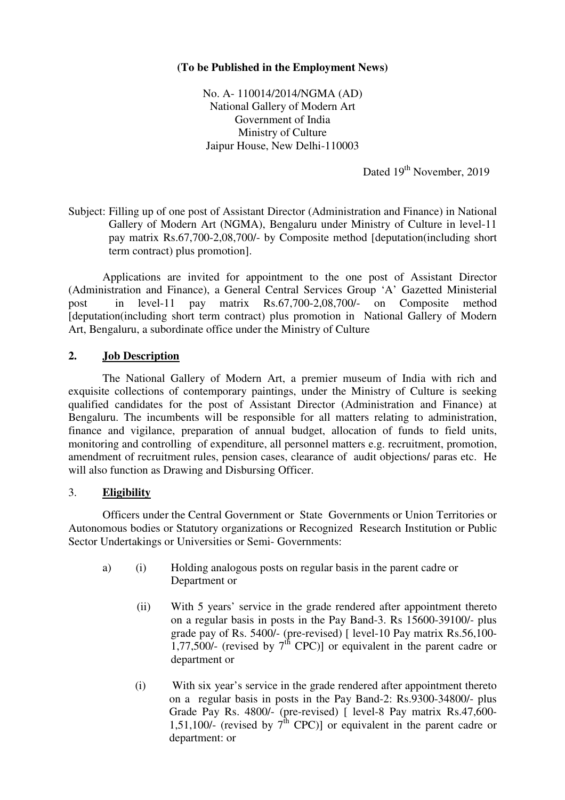# **(To be Published in the Employment News)**

No. A- 110014/2014/NGMA (AD) National Gallery of Modern Art Government of India Ministry of Culture Jaipur House, New Delhi-110003

Dated 19<sup>th</sup> November, 2019

Subject: Filling up of one post of Assistant Director (Administration and Finance) in National Gallery of Modern Art (NGMA), Bengaluru under Ministry of Culture in level-11 pay matrix Rs.67,700-2,08,700/- by Composite method [deputation(including short term contract) plus promotion].

 Applications are invited for appointment to the one post of Assistant Director (Administration and Finance), a General Central Services Group 'A' Gazetted Ministerial post in level-11 pay matrix Rs.67,700-2,08,700/- on Composite method [deputation(including short term contract) plus promotion in National Gallery of Modern Art, Bengaluru, a subordinate office under the Ministry of Culture

# **2. Job Description**

The National Gallery of Modern Art, a premier museum of India with rich and exquisite collections of contemporary paintings, under the Ministry of Culture is seeking qualified candidates for the post of Assistant Director (Administration and Finance) at Bengaluru. The incumbents will be responsible for all matters relating to administration, finance and vigilance, preparation of annual budget, allocation of funds to field units, monitoring and controlling of expenditure, all personnel matters e.g. recruitment, promotion, amendment of recruitment rules, pension cases, clearance of audit objections/ paras etc. He will also function as Drawing and Disbursing Officer.

#### 3. **Eligibility**

 Officers under the Central Government or State Governments or Union Territories or Autonomous bodies or Statutory organizations or Recognized Research Institution or Public Sector Undertakings or Universities or Semi- Governments:

- a) (i) Holding analogous posts on regular basis in the parent cadre or Department or
	- (ii) With 5 years' service in the grade rendered after appointment thereto on a regular basis in posts in the Pay Band-3. Rs 15600-39100/- plus grade pay of Rs. 5400/- (pre-revised) [ level-10 Pay matrix Rs.56,100- 1,77,500/- (revised by  $7<sup>th</sup>$  CPC)] or equivalent in the parent cadre or department or
	- (i) With six year's service in the grade rendered after appointment thereto on a regular basis in posts in the Pay Band-2: Rs.9300-34800/- plus Grade Pay Rs. 4800/- (pre-revised) [ level-8 Pay matrix Rs.47,600- 1,51,100/- (revised by  $7^{\text{th}}$  CPC)] or equivalent in the parent cadre or department: or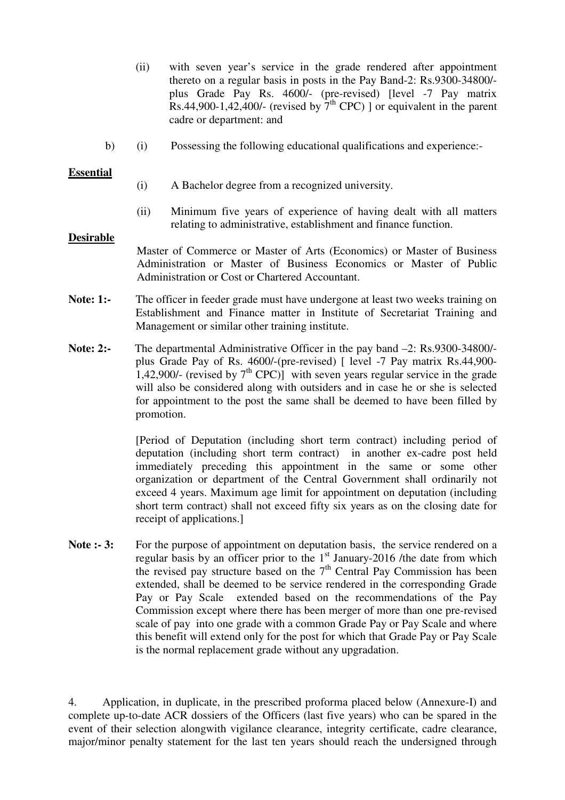- (ii) with seven year's service in the grade rendered after appointment thereto on a regular basis in posts in the Pay Band-2: Rs.9300-34800/ plus Grade Pay Rs. 4600/- (pre-revised) [level -7 Pay matrix Rs.44,900-1,42,400/- (revised by  $7<sup>th</sup>$  CPC) ] or equivalent in the parent cadre or department: and
- b) (i) Possessing the following educational qualifications and experience:-

## **Essential**

- (i) A Bachelor degree from a recognized university.
- (ii) Minimum five years of experience of having dealt with all matters relating to administrative, establishment and finance function.

#### **Desirable**

Master of Commerce or Master of Arts (Economics) or Master of Business Administration or Master of Business Economics or Master of Public Administration or Cost or Chartered Accountant.

- **Note: 1:-** The officer in feeder grade must have undergone at least two weeks training on Establishment and Finance matter in Institute of Secretariat Training and Management or similar other training institute.
- **Note: 2:-** The departmental Administrative Officer in the pay band  $-2$ : Rs.9300-34800/plus Grade Pay of Rs. 4600/-(pre-revised) [ level -7 Pay matrix Rs.44,900- 1,42,900/- (revised by  $7<sup>th</sup>$  CPC)] with seven years regular service in the grade will also be considered along with outsiders and in case he or she is selected for appointment to the post the same shall be deemed to have been filled by promotion.

 [Period of Deputation (including short term contract) including period of deputation (including short term contract) in another ex-cadre post held immediately preceding this appointment in the same or some other organization or department of the Central Government shall ordinarily not exceed 4 years. Maximum age limit for appointment on deputation (including short term contract) shall not exceed fifty six years as on the closing date for receipt of applications.]

Note :- 3: For the purpose of appointment on deputation basis, the service rendered on a regular basis by an officer prior to the  $1<sup>st</sup>$  January-2016 /the date from which the revised pay structure based on the  $7<sup>th</sup>$  Central Pay Commission has been extended, shall be deemed to be service rendered in the corresponding Grade Pay or Pay Scale extended based on the recommendations of the Pay Commission except where there has been merger of more than one pre-revised scale of pay into one grade with a common Grade Pay or Pay Scale and where this benefit will extend only for the post for which that Grade Pay or Pay Scale is the normal replacement grade without any upgradation.

4. Application, in duplicate, in the prescribed proforma placed below (Annexure-I) and complete up-to-date ACR dossiers of the Officers (last five years) who can be spared in the event of their selection alongwith vigilance clearance, integrity certificate, cadre clearance, major/minor penalty statement for the last ten years should reach the undersigned through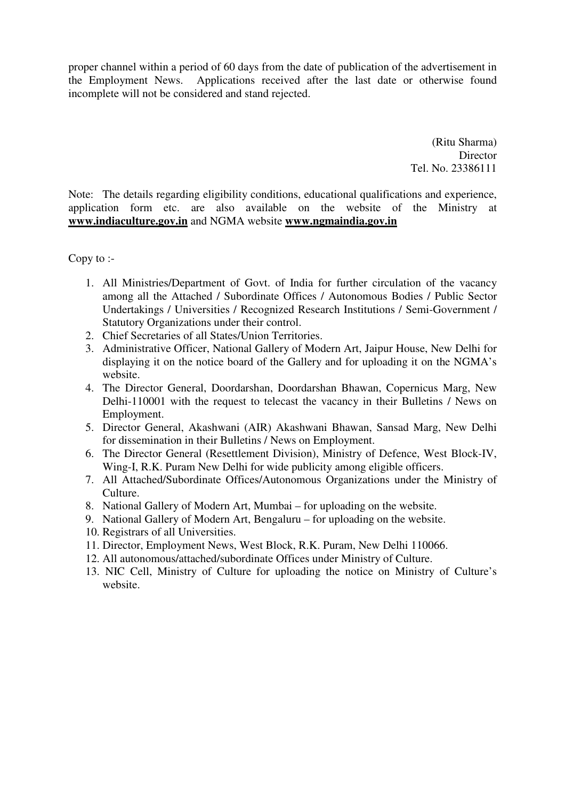proper channel within a period of 60 days from the date of publication of the advertisement in the Employment News. Applications received after the last date or otherwise found incomplete will not be considered and stand rejected.

> (Ritu Sharma) **Director** Tel. No. 23386111

Note: The details regarding eligibility conditions, educational qualifications and experience, application form etc. are also available on the website of the Ministry at **www.indiaculture.gov.in** and NGMA website **www.ngmaindia.gov.in**

Copy to :-

- 1. All Ministries/Department of Govt. of India for further circulation of the vacancy among all the Attached / Subordinate Offices / Autonomous Bodies / Public Sector Undertakings / Universities / Recognized Research Institutions / Semi-Government / Statutory Organizations under their control.
- 2. Chief Secretaries of all States/Union Territories.
- 3. Administrative Officer, National Gallery of Modern Art, Jaipur House, New Delhi for displaying it on the notice board of the Gallery and for uploading it on the NGMA's website.
- 4. The Director General, Doordarshan, Doordarshan Bhawan, Copernicus Marg, New Delhi-110001 with the request to telecast the vacancy in their Bulletins / News on Employment.
- 5. Director General, Akashwani (AIR) Akashwani Bhawan, Sansad Marg, New Delhi for dissemination in their Bulletins / News on Employment.
- 6. The Director General (Resettlement Division), Ministry of Defence, West Block-IV, Wing-I, R.K. Puram New Delhi for wide publicity among eligible officers.
- 7. All Attached/Subordinate Offices/Autonomous Organizations under the Ministry of Culture.
- 8. National Gallery of Modern Art, Mumbai for uploading on the website.
- 9. National Gallery of Modern Art, Bengaluru for uploading on the website.
- 10. Registrars of all Universities.
- 11. Director, Employment News, West Block, R.K. Puram, New Delhi 110066.
- 12. All autonomous/attached/subordinate Offices under Ministry of Culture.
- 13. NIC Cell, Ministry of Culture for uploading the notice on Ministry of Culture's website.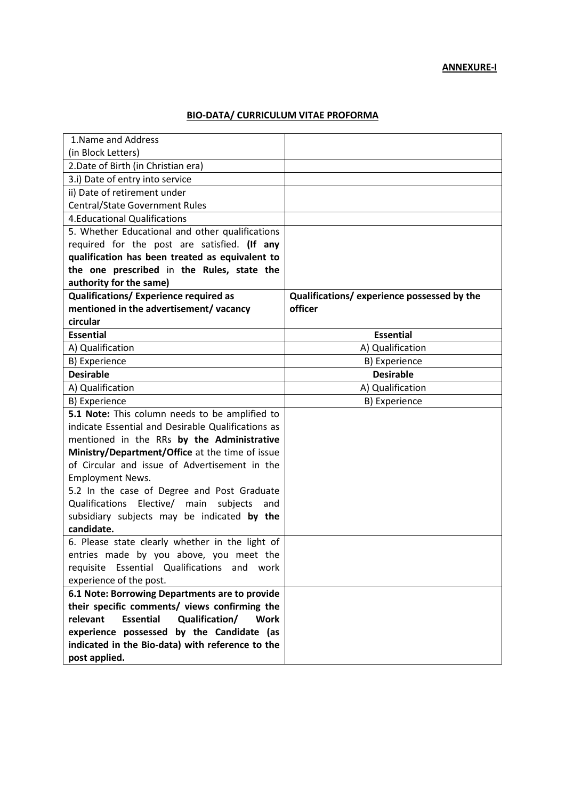### **BIO-DATA/ CURRICULUM VITAE PROFORMA**

| 1. Name and Address                                    |                                             |
|--------------------------------------------------------|---------------------------------------------|
| (in Block Letters)                                     |                                             |
| 2. Date of Birth (in Christian era)                    |                                             |
| 3.i) Date of entry into service                        |                                             |
| ii) Date of retirement under                           |                                             |
| <b>Central/State Government Rules</b>                  |                                             |
| <b>4.Educational Qualifications</b>                    |                                             |
| 5. Whether Educational and other qualifications        |                                             |
| required for the post are satisfied. (If any           |                                             |
| qualification has been treated as equivalent to        |                                             |
| the one prescribed in the Rules, state the             |                                             |
| authority for the same)                                |                                             |
| Qualifications/ Experience required as                 | Qualifications/ experience possessed by the |
| mentioned in the advertisement/vacancy                 | officer                                     |
| circular                                               |                                             |
| <b>Essential</b>                                       | <b>Essential</b>                            |
| A) Qualification                                       | A) Qualification                            |
| B) Experience                                          | B) Experience                               |
| <b>Desirable</b>                                       | <b>Desirable</b>                            |
| A) Qualification                                       | A) Qualification                            |
| B) Experience                                          | B) Experience                               |
| 5.1 Note: This column needs to be amplified to         |                                             |
| indicate Essential and Desirable Qualifications as     |                                             |
| mentioned in the RRs by the Administrative             |                                             |
| Ministry/Department/Office at the time of issue        |                                             |
| of Circular and issue of Advertisement in the          |                                             |
| <b>Employment News.</b>                                |                                             |
| 5.2 In the case of Degree and Post Graduate            |                                             |
| Qualifications Elective/ main<br>subjects<br>and       |                                             |
| subsidiary subjects may be indicated by the            |                                             |
| candidate.                                             |                                             |
| 6. Please state clearly whether in the light of        |                                             |
| entries made by you above, you meet the                |                                             |
| requisite Essential Qualifications and work            |                                             |
| experience of the post.                                |                                             |
| 6.1 Note: Borrowing Departments are to provide         |                                             |
| their specific comments/ views confirming the          |                                             |
| <b>Essential</b><br>relevant<br>Qualification/<br>Work |                                             |
| experience possessed by the Candidate (as              |                                             |
| indicated in the Bio-data) with reference to the       |                                             |
| post applied.                                          |                                             |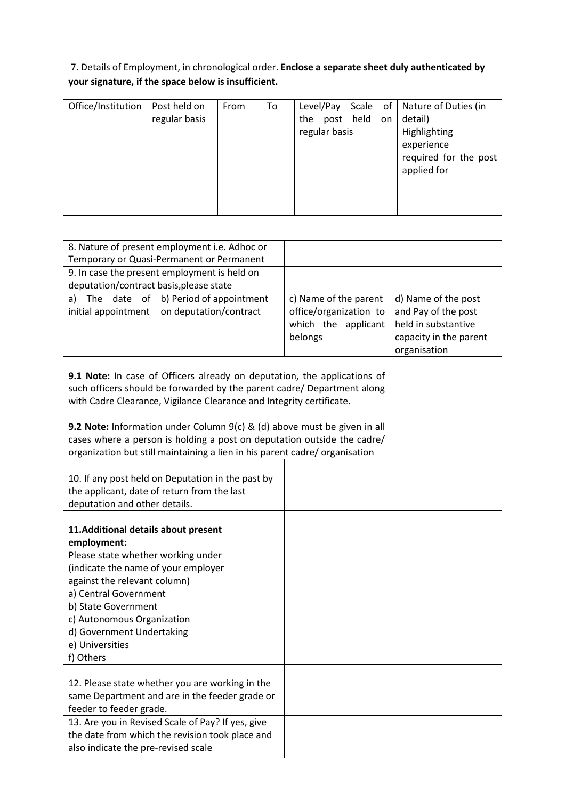# 7. Details of Employment, in chronological order. **Enclose a separate sheet duly authenticated by your signature, if the space below is insufficient.**

| Office/Institution | Post held on<br>regular basis | From | To | the post held on<br>regular basis |  | Level/Pay Scale of   Nature of Duties (in<br>detail)<br>Highlighting<br>experience |
|--------------------|-------------------------------|------|----|-----------------------------------|--|------------------------------------------------------------------------------------|
|                    |                               |      |    |                                   |  | required for the post<br>applied for                                               |
|                    |                               |      |    |                                   |  |                                                                                    |

| 8. Nature of present employment i.e. Adhoc or                                                                                                                                                                                                                                                               |                                                                                                                                                                                                                                                                                                                                                                                                                                                                                                                                 |                        |                        |
|-------------------------------------------------------------------------------------------------------------------------------------------------------------------------------------------------------------------------------------------------------------------------------------------------------------|---------------------------------------------------------------------------------------------------------------------------------------------------------------------------------------------------------------------------------------------------------------------------------------------------------------------------------------------------------------------------------------------------------------------------------------------------------------------------------------------------------------------------------|------------------------|------------------------|
| Temporary or Quasi-Permanent or Permanent                                                                                                                                                                                                                                                                   |                                                                                                                                                                                                                                                                                                                                                                                                                                                                                                                                 |                        |                        |
| 9. In case the present employment is held on<br>deputation/contract basis, please state                                                                                                                                                                                                                     |                                                                                                                                                                                                                                                                                                                                                                                                                                                                                                                                 |                        |                        |
| date<br>of <sub>l</sub><br>The<br>a)                                                                                                                                                                                                                                                                        | b) Period of appointment                                                                                                                                                                                                                                                                                                                                                                                                                                                                                                        | c) Name of the parent  | d) Name of the post    |
| initial appointment                                                                                                                                                                                                                                                                                         | on deputation/contract                                                                                                                                                                                                                                                                                                                                                                                                                                                                                                          | office/organization to | and Pay of the post    |
|                                                                                                                                                                                                                                                                                                             |                                                                                                                                                                                                                                                                                                                                                                                                                                                                                                                                 | which the applicant    | held in substantive    |
|                                                                                                                                                                                                                                                                                                             |                                                                                                                                                                                                                                                                                                                                                                                                                                                                                                                                 | belongs                | capacity in the parent |
|                                                                                                                                                                                                                                                                                                             |                                                                                                                                                                                                                                                                                                                                                                                                                                                                                                                                 |                        | organisation           |
|                                                                                                                                                                                                                                                                                                             | 9.1 Note: In case of Officers already on deputation, the applications of<br>such officers should be forwarded by the parent cadre/ Department along<br>with Cadre Clearance, Vigilance Clearance and Integrity certificate.<br><b>9.2 Note:</b> Information under Column $9(c)$ & (d) above must be given in all<br>cases where a person is holding a post on deputation outside the cadre/<br>organization but still maintaining a lien in his parent cadre/ organisation<br>10. If any post held on Deputation in the past by |                        |                        |
| the applicant, date of return from the last                                                                                                                                                                                                                                                                 |                                                                                                                                                                                                                                                                                                                                                                                                                                                                                                                                 |                        |                        |
| deputation and other details.                                                                                                                                                                                                                                                                               |                                                                                                                                                                                                                                                                                                                                                                                                                                                                                                                                 |                        |                        |
| 11. Additional details about present<br>employment:<br>Please state whether working under<br>(indicate the name of your employer<br>against the relevant column)<br>a) Central Government<br>b) State Government<br>c) Autonomous Organization<br>d) Government Undertaking<br>e) Universities<br>f) Others |                                                                                                                                                                                                                                                                                                                                                                                                                                                                                                                                 |                        |                        |
| feeder to feeder grade.                                                                                                                                                                                                                                                                                     | 12. Please state whether you are working in the<br>same Department and are in the feeder grade or<br>13. Are you in Revised Scale of Pay? If yes, give                                                                                                                                                                                                                                                                                                                                                                          |                        |                        |
| also indicate the pre-revised scale                                                                                                                                                                                                                                                                         | the date from which the revision took place and                                                                                                                                                                                                                                                                                                                                                                                                                                                                                 |                        |                        |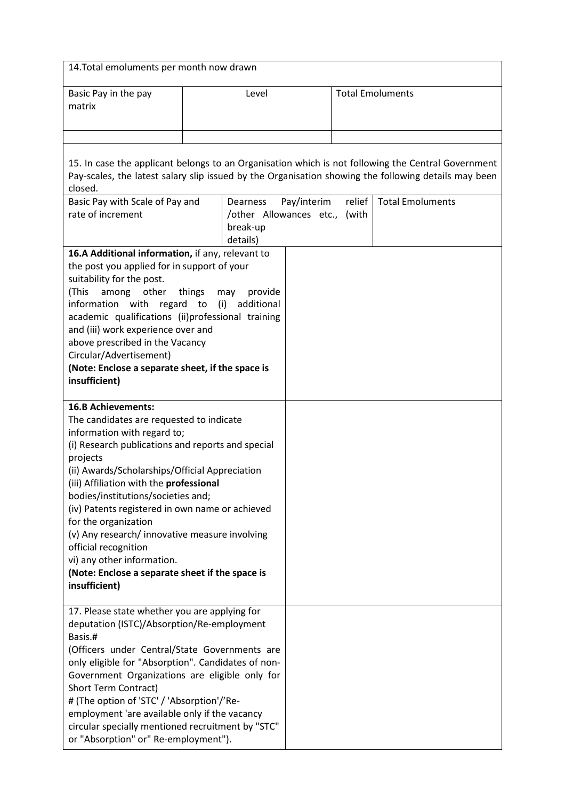| 14. Total emoluments per month now drawn                                                                                                                                                                                                                                                                                                                                                                                                                                                                                                                        |                                                                             |             |                         |                                                                                                                                                                                                                                       |  |
|-----------------------------------------------------------------------------------------------------------------------------------------------------------------------------------------------------------------------------------------------------------------------------------------------------------------------------------------------------------------------------------------------------------------------------------------------------------------------------------------------------------------------------------------------------------------|-----------------------------------------------------------------------------|-------------|-------------------------|---------------------------------------------------------------------------------------------------------------------------------------------------------------------------------------------------------------------------------------|--|
| Basic Pay in the pay<br>matrix                                                                                                                                                                                                                                                                                                                                                                                                                                                                                                                                  | Level                                                                       |             | <b>Total Emoluments</b> |                                                                                                                                                                                                                                       |  |
| closed.<br>Basic Pay with Scale of Pay and<br>rate of increment                                                                                                                                                                                                                                                                                                                                                                                                                                                                                                 | Dearness<br>/other Allowances etc., (with                                   | Pay/interim | relief                  | 15. In case the applicant belongs to an Organisation which is not following the Central Government<br>Pay-scales, the latest salary slip issued by the Organisation showing the following details may been<br><b>Total Emoluments</b> |  |
| 16.A Additional information, if any, relevant to<br>the post you applied for in support of your<br>suitability for the post.<br>(This<br>among<br>other<br>information with regard<br>academic qualifications (ii)professional training<br>and (iii) work experience over and<br>above prescribed in the Vacancy<br>Circular/Advertisement)<br>(Note: Enclose a separate sheet, if the space is<br>insufficient)                                                                                                                                                | break-up<br>details)<br>things<br>provide<br>may<br>additional<br>to<br>(i) |             |                         |                                                                                                                                                                                                                                       |  |
| <b>16.B Achievements:</b><br>The candidates are requested to indicate<br>information with regard to;<br>(i) Research publications and reports and special<br>projects<br>(ii) Awards/Scholarships/Official Appreciation<br>(iii) Affiliation with the professional<br>bodies/institutions/societies and;<br>(iv) Patents registered in own name or achieved<br>for the organization<br>(v) Any research/ innovative measure involving<br>official recognition<br>vi) any other information.<br>(Note: Enclose a separate sheet if the space is<br>insufficient) |                                                                             |             |                         |                                                                                                                                                                                                                                       |  |
| 17. Please state whether you are applying for<br>deputation (ISTC)/Absorption/Re-employment<br>Basis.#<br>(Officers under Central/State Governments are<br>only eligible for "Absorption". Candidates of non-<br>Government Organizations are eligible only for<br>Short Term Contract)<br># (The option of 'STC' / 'Absorption'/'Re-<br>employment 'are available only if the vacancy<br>circular specially mentioned recruitment by "STC"<br>or "Absorption" or" Re-employment").                                                                             |                                                                             |             |                         |                                                                                                                                                                                                                                       |  |